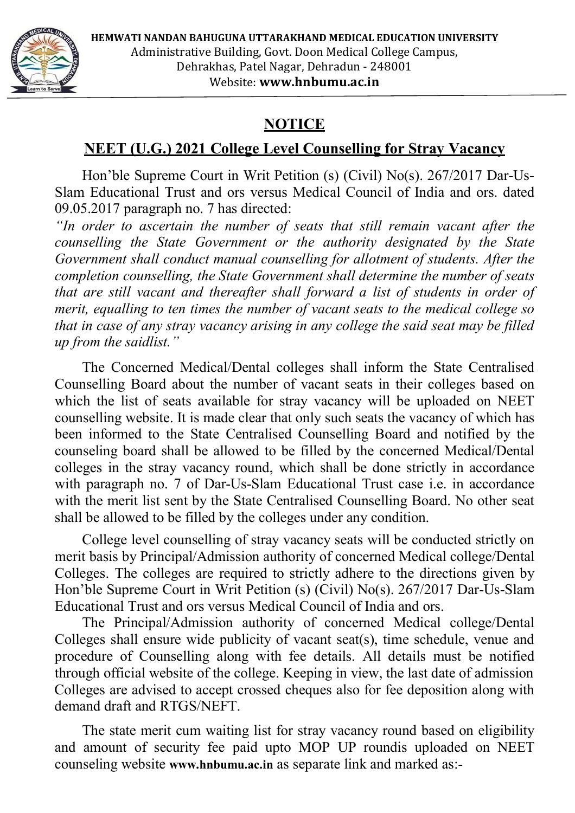**HEMWATI NANDAN BAHUGUNA UTTARAKHAND MEDICAL EDUCATION UNIVERSITY** Administrative Building, Govt. Doon Medical College Campus,



Dehrakhas, Patel Nagar, Dehradun ‐ 248001 Website: **www.hnbumu.ac.in**

# **NOTICE**

## **NEET (U.G.) 2021 College Level Counselling for Stray Vacancy**

Hon'ble Supreme Court in Writ Petition (s) (Civil) No(s). 267/2017 Dar-Us-Slam Educational Trust and ors versus Medical Council of India and ors. dated 09.05.2017 paragraph no. 7 has directed:

*"In order to ascertain the number of seats that still remain vacant after the counselling the State Government or the authority designated by the State Government shall conduct manual counselling for allotment of students. After the completion counselling, the State Government shall determine the number of seats that are still vacant and thereafter shall forward a list of students in order of merit, equalling to ten times the number of vacant seats to the medical college so that in case of any stray vacancy arising in any college the said seat may be filled up from the saidlist."*

The Concerned Medical/Dental colleges shall inform the State Centralised Counselling Board about the number of vacant seats in their colleges based on which the list of seats available for stray vacancy will be uploaded on NEET counselling website. It is made clear that only such seats the vacancy of which has been informed to the State Centralised Counselling Board and notified by the counseling board shall be allowed to be filled by the concerned Medical/Dental colleges in the stray vacancy round, which shall be done strictly in accordance with paragraph no. 7 of Dar-Us-Slam Educational Trust case *i.e.* in accordance with the merit list sent by the State Centralised Counselling Board. No other seat shall be allowed to be filled by the colleges under any condition.

College level counselling of stray vacancy seats will be conducted strictly on merit basis by Principal/Admission authority of concerned Medical college/Dental Colleges. The colleges are required to strictly adhere to the directions given by Hon'ble Supreme Court in Writ Petition (s) (Civil) No(s). 267/2017 Dar-Us-Slam Educational Trust and ors versus Medical Council of India and ors.

The Principal/Admission authority of concerned Medical college/Dental Colleges shall ensure wide publicity of vacant seat(s), time schedule, venue and procedure of Counselling along with fee details. All details must be notified through official website of the college. Keeping in view, the last date of admission Colleges are advised to accept crossed cheques also for fee deposition along with demand draft and RTGS/NEFT.

The state merit cum waiting list for stray vacancy round based on eligibility and amount of security fee paid upto MOP UP roundis uploaded on NEET counseling website **www.hnbumu.ac.in** as separate link and marked as:-